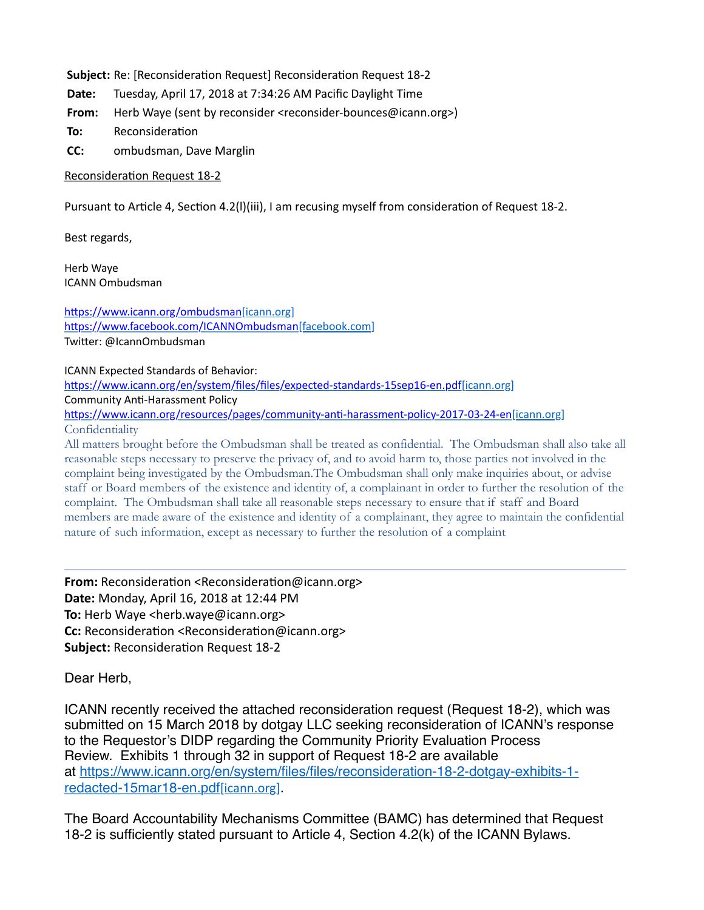Subject: Re: [Reconsideration Request] Reconsideration Request 18-2

**Date:** Tuesday, April 17, 2018 at 7:34:26 AM Pacific Daylight Time

**From:** Herb Waye (sent by reconsider <reconsider-bounces@icann.org>)

**To:** Reconsideration

**CC:** ombudsman, Dave Marglin

Reconsideration Request 18-2

Pursuant to Article 4, Section 4.2(I)(iii), I am recusing myself from consideration of Request 18-2.

Best regards,

Herb Waye ICANN Ombudsman

https://www.icann.org/ombudsman[icann.org] https://www.facebook.com/ICANNOmbudsman[facebook.com] Twitter: @IcannOmbudsman

ICANN Expected Standards of Behavior:

https://www.icann.org/en/system/files/files/expected-standards-15sep16-en.pdf[icann.org] Community Anti-Harassment Policy

https://www.icann.org/resources/pages/community-anti-harassment-policy-2017-03-24-en[icann.org] Confidentiality

All matters brought before the Ombudsman shall be treated as confidential. The Ombudsman shall also take all reasonable steps necessary to preserve the privacy of, and to avoid harm to, those parties not involved in the complaint being investigated by the Ombudsman.The Ombudsman shall only make inquiries about, or advise staff or Board members of the existence and identity of, a complainant in order to further the resolution of the complaint. The Ombudsman shall take all reasonable steps necessary to ensure that if staff and Board members are made aware of the existence and identity of a complainant, they agree to maintain the confidential nature of such information, except as necessary to further the resolution of a complaint

**From:** Reconsideration <Reconsideration@icann.org> **Date:** Monday, April 16, 2018 at 12:44 PM **To:** Herb Waye <herb.waye@icann.org> **Cc:** Reconsideration <Reconsideration@icann.org> **Subject:** Reconsideration Request 18-2

Dear Herb,

ICANN recently received the attached reconsideration request (Request 18-2), which was submitted on 15 March 2018 by dotgay LLC seeking reconsideration of ICANN's response to the Requestor's DIDP regarding the Community Priority Evaluation Process Review. Exhibits 1 through 32 in support of Request 18-2 are available [at https://www.icann.org/en/system/files/files/reconsideration-18-2-dotgay-exhibits-1](https://urldefense.proofpoint.com/v2/url?u=https-3A__www.icann.org_en_system_files_files_reconsideration-2D18-2D2-2Ddotgay-2Dexhibits-2D1-2Dredacted-2D15mar18-2Den.pdf&d=DwMGaQ&c=FmY1u3PJp6wrcrwll3mSVzgfkbPSS6sJms7xcl4I5cM&r=Yq8kkKRfvwbzb5S6uc7Zd0P6CrV6n6oSQVrGL5EQebA&m=46d4G3xUek4FiRb2Bo60X1JrvaOb5UsjAT4m8p1n5XY&s=BmS7mpqzV2bgyi90buys7MvZ8Q_baqY80O50N8sCNnk&e=) redacted-15mar18-en.pdf[icann.org].

The Board Accountability Mechanisms Committee (BAMC) has determined that Request 18-2 is sufficiently stated pursuant to Article 4, Section 4.2(k) of the ICANN Bylaws.